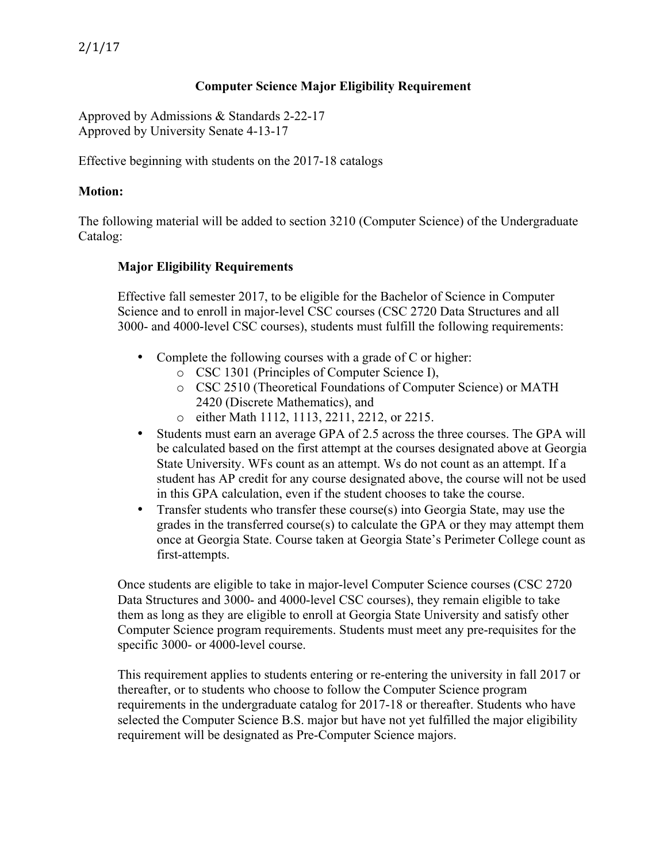## **Computer Science Major Eligibility Requirement**

Approved by Admissions & Standards 2-22-17 Approved by University Senate 4-13-17

Effective beginning with students on the 2017-18 catalogs

#### **Motion:**

The following material will be added to section 3210 (Computer Science) of the Undergraduate Catalog:

### **Major Eligibility Requirements**

Effective fall semester 2017, to be eligible for the Bachelor of Science in Computer Science and to enroll in major-level CSC courses (CSC 2720 Data Structures and all 3000- and 4000-level CSC courses), students must fulfill the following requirements:

- Complete the following courses with a grade of C or higher:
	- o CSC 1301 (Principles of Computer Science I),
	- o CSC 2510 (Theoretical Foundations of Computer Science) or MATH 2420 (Discrete Mathematics), and
	- o either Math 1112, 1113, 2211, 2212, or 2215.
- Students must earn an average GPA of 2.5 across the three courses. The GPA will be calculated based on the first attempt at the courses designated above at Georgia State University. WFs count as an attempt. Ws do not count as an attempt. If a student has AP credit for any course designated above, the course will not be used in this GPA calculation, even if the student chooses to take the course.
- Transfer students who transfer these course(s) into Georgia State, may use the grades in the transferred course(s) to calculate the GPA or they may attempt them once at Georgia State. Course taken at Georgia State's Perimeter College count as first-attempts.

Once students are eligible to take in major-level Computer Science courses (CSC 2720 Data Structures and 3000- and 4000-level CSC courses), they remain eligible to take them as long as they are eligible to enroll at Georgia State University and satisfy other Computer Science program requirements. Students must meet any pre-requisites for the specific 3000- or 4000-level course.

This requirement applies to students entering or re-entering the university in fall 2017 or thereafter, or to students who choose to follow the Computer Science program requirements in the undergraduate catalog for 2017-18 or thereafter. Students who have selected the Computer Science B.S. major but have not yet fulfilled the major eligibility requirement will be designated as Pre-Computer Science majors.